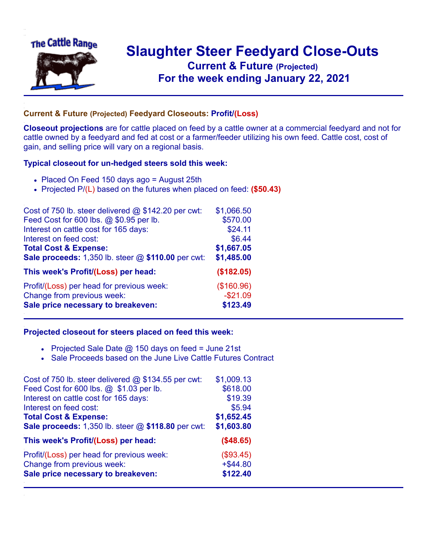

## **Slaughter Steer Feedyard Close-Outs Current & Future (Projected)** .**For the week ending January 22, 2021**

## **Current & Future (Projected) Feedyard Closeouts: Profit/(Loss)**

**Closeout projections** are for cattle placed on feed by a cattle owner at a commercial feedyard and not for cattle owned by a feedyard and fed at cost or a farmer/feeder utilizing his own feed. Cattle cost, cost of gain, and selling price will vary on a regional basis.

## **Typical closeout for un-hedged steers sold this week:**

- Placed On Feed 150 days ago = August 25th
- Projected P/(L) based on the futures when placed on feed: **(\$50.43)**

| Cost of 750 lb. steer delivered $@$ \$142.20 per cwt: | \$1,066.50 |
|-------------------------------------------------------|------------|
| Feed Cost for 600 lbs. @ \$0.95 per lb.               | \$570.00   |
| Interest on cattle cost for 165 days:                 | \$24.11    |
| Interest on feed cost:                                | \$6.44     |
| <b>Total Cost &amp; Expense:</b>                      | \$1,667.05 |
| Sale proceeds: 1,350 lb. steer @ \$110.00 per cwt:    | \$1,485.00 |
| This week's Profit/(Loss) per head:                   | (\$182.05) |
| Profit/(Loss) per head for previous week:             | (\$160.96) |
| Change from previous week:                            | $-$21.09$  |
| Sale price necessary to breakeven:                    | \$123.49   |

## **Projected closeout for steers placed on feed this week:**

- Projected Sale Date  $@$  150 days on feed = June 21st
- Sale Proceeds based on the June Live Cattle Futures Contract

| Cost of 750 lb. steer delivered $@$ \$134.55 per cwt: | \$1,009.13  |
|-------------------------------------------------------|-------------|
| Feed Cost for 600 lbs. @ \$1.03 per lb.               | \$618.00    |
| Interest on cattle cost for 165 days:                 | \$19.39     |
| Interest on feed cost:                                | \$5.94      |
| <b>Total Cost &amp; Expense:</b>                      | \$1,652.45  |
| Sale proceeds: 1,350 lb. steer @ \$118.80 per cwt:    | \$1,603.80  |
| This week's Profit/(Loss) per head:                   | (\$48.65)   |
| Profit/(Loss) per head for previous week:             | (\$93.45)   |
| Change from previous week:                            | $+$ \$44.80 |
| Sale price necessary to breakeven:                    | \$122.40    |